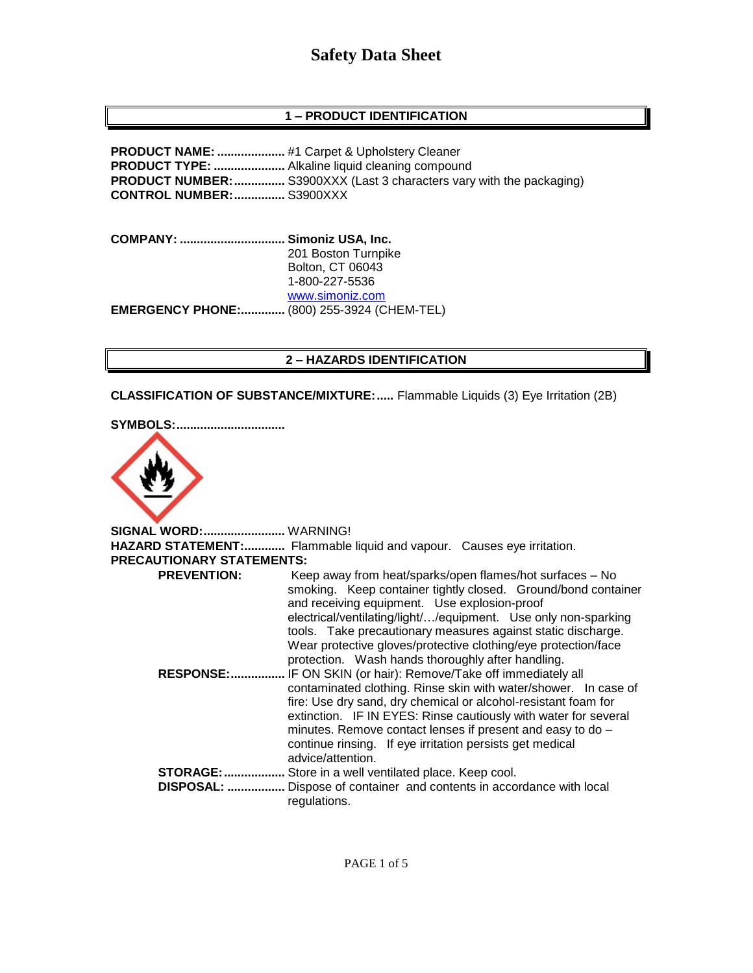## **1 – PRODUCT IDENTIFICATION**

**PRODUCT NAME: ....................** #1 Carpet & Upholstery Cleaner **PRODUCT TYPE: .....................** Alkaline liquid cleaning compound **PRODUCT NUMBER:...............** S3900XXX (Last 3 characters vary with the packaging) **CONTROL NUMBER:...............** S3900XXX

**COMPANY: ............................... Simoniz USA, Inc.** 201 Boston Turnpike Bolton, CT 06043 1-800-227-5536 [www.simoniz.com](http://www.simoniz.com/) **EMERGENCY PHONE:.............** (800) 255-3924 (CHEM-TEL)

#### **2 – HAZARDS IDENTIFICATION**

**CLASSIFICATION OF SUBSTANCE/MIXTURE:.....** Flammable Liquids (3) Eye Irritation (2B)





**SIGNAL WORD:........................** WARNING! **HAZARD STATEMENT:............** Flammable liquid and vapour. Causes eye irritation. **PRECAUTIONARY STATEMENTS: PREVENTION:** Keep away from heat/sparks/open flames/hot surfaces – No smoking. Keep container tightly closed. Ground/bond container and receiving equipment. Use explosion-proof electrical/ventilating/light/…/equipment. Use only non-sparking tools. Take precautionary measures against static discharge. Wear protective gloves/protective clothing/eye protection/face protection. Wash hands thoroughly after handling.  **RESPONSE:................** IF ON SKIN (or hair): Remove/Take off immediately all contaminated clothing. Rinse skin with water/shower. In case of fire: Use dry sand, dry chemical or alcohol-resistant foam for extinction. IF IN EYES: Rinse cautiously with water for several minutes. Remove contact lenses if present and easy to do – continue rinsing. If eye irritation persists get medical advice/attention. **STORAGE:..................** Store in a well ventilated place. Keep cool.  **DISPOSAL: .................** Dispose of container and contents in accordance with local regulations.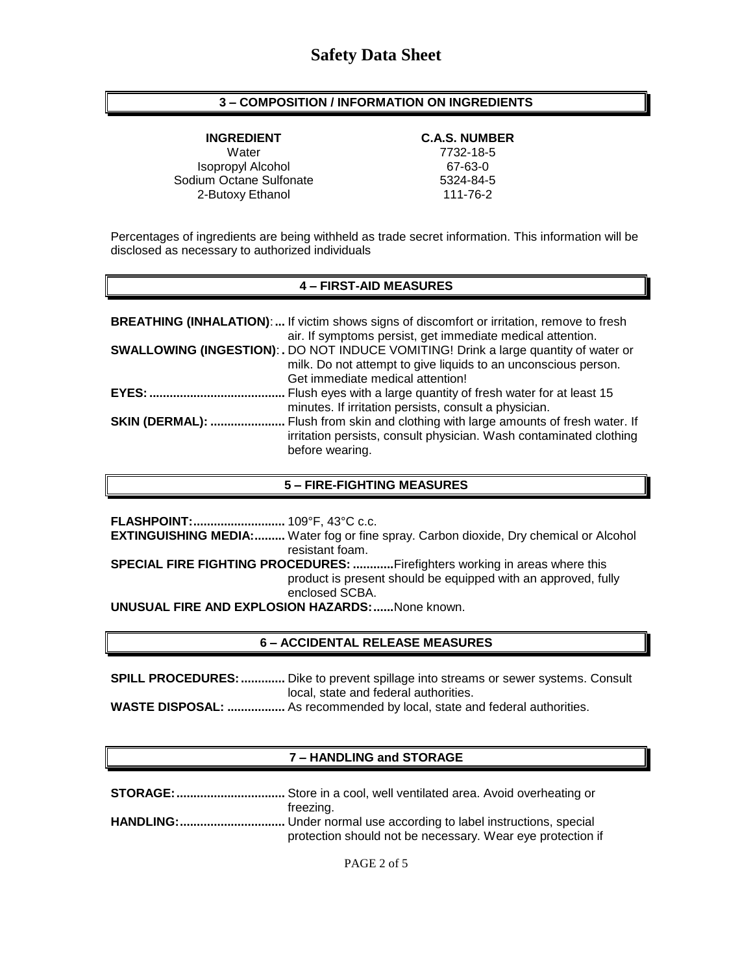## **3 – COMPOSITION / INFORMATION ON INGREDIENTS**

Water 7732-18-5 Isopropyl Alcohol 67-63-0 Sodium Octane Sulfonate 5324-84-5 2-Butoxy Ethanol 111-76-2

# **INGREDIENT C.A.S. NUMBER**

Percentages of ingredients are being withheld as trade secret information. This information will be disclosed as necessary to authorized individuals

#### **4 – FIRST-AID MEASURES**

|                        | <b>BREATHING (INHALATION):</b> If victim shows signs of discomfort or irritation, remove to fresh<br>air. If symptoms persist, get immediate medical attention.                                   |
|------------------------|---------------------------------------------------------------------------------------------------------------------------------------------------------------------------------------------------|
|                        | <b>SWALLOWING (INGESTION): .</b> DO NOT INDUCE VOMITING! Drink a large quantity of water or<br>milk. Do not attempt to give liquids to an unconscious person.<br>Get immediate medical attention! |
|                        | minutes. If irritation persists, consult a physician.                                                                                                                                             |
| <b>SKIN (DERMAL): </b> | Flush from skin and clothing with large amounts of fresh water. If<br>irritation persists, consult physician. Wash contaminated clothing<br>before wearing.                                       |

#### **5 – FIRE-FIGHTING MEASURES**

|                                                                            | <b>EXTINGUISHING MEDIA:</b> Water fog or fine spray. Carbon dioxide, Dry chemical or Alcohol |  |
|----------------------------------------------------------------------------|----------------------------------------------------------------------------------------------|--|
|                                                                            | resistant foam.                                                                              |  |
| SPECIAL FIRE FIGHTING PROCEDURES: Firefighters working in areas where this |                                                                                              |  |
|                                                                            | product is present should be equipped with an approved, fully                                |  |
|                                                                            | enclosed SCBA.                                                                               |  |
| <b>UNUSUAL FIRE AND EXPLOSION HAZARDS:  None known.</b>                    |                                                                                              |  |

### **6 – ACCIDENTAL RELEASE MEASURES**

**SPILL PROCEDURES:.............** Dike to prevent spillage into streams or sewer systems. Consult local, state and federal authorities.

**WASTE DISPOSAL: .................** As recommended by local, state and federal authorities.

# **7 – HANDLING and STORAGE**

| freezing.                                                  |
|------------------------------------------------------------|
|                                                            |
| protection should not be necessary. Wear eye protection if |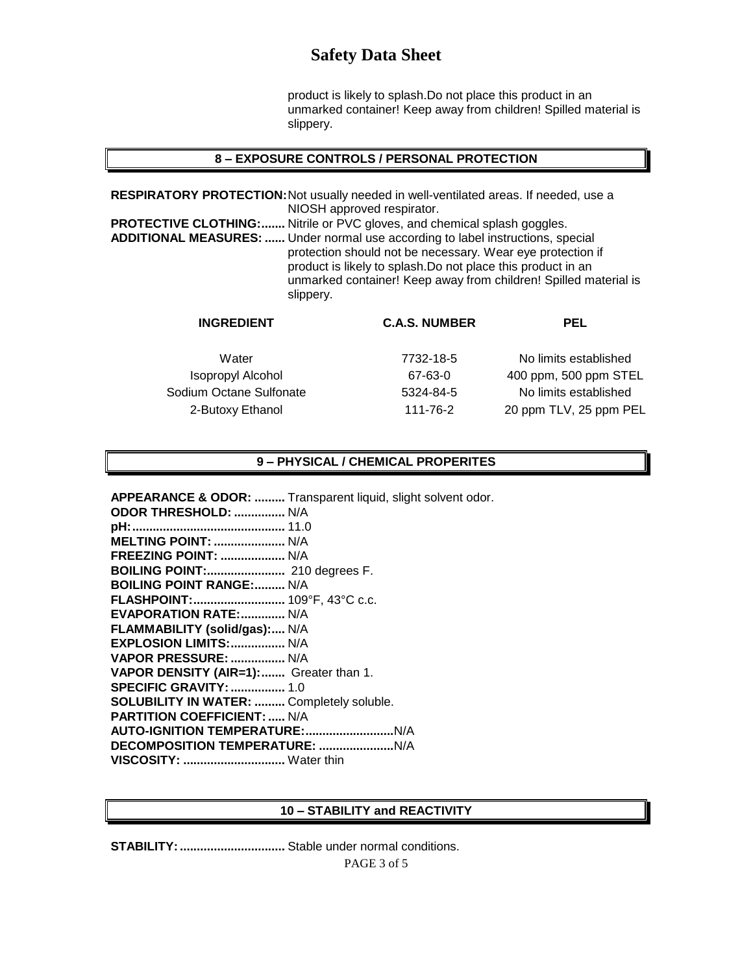product is likely to splash.Do not place this product in an unmarked container! Keep away from children! Spilled material is slippery.

#### **8 – EXPOSURE CONTROLS / PERSONAL PROTECTION**

**RESPIRATORY PROTECTION:**Not usually needed in well-ventilated areas. If needed, use a NIOSH approved respirator. **PROTECTIVE CLOTHING:.......** Nitrile or PVC gloves, and chemical splash goggles. **ADDITIONAL MEASURES: ......** Under normal use according to label instructions, special protection should not be necessary. Wear eye protection if product is likely to splash.Do not place this product in an unmarked container! Keep away from children! Spilled material is slippery.

| <b>INGREDIENT</b>        | <b>C.A.S. NUMBER</b> | PEL                    |
|--------------------------|----------------------|------------------------|
| Water                    | 7732-18-5            | No limits established  |
| <b>Isopropyl Alcohol</b> | 67-63-0              | 400 ppm, 500 ppm STEL  |
| Sodium Octane Sulfonate  | 5324-84-5            | No limits established  |
| 2-Butoxy Ethanol         | 111-76-2             | 20 ppm TLV, 25 ppm PEL |
|                          |                      |                        |

#### **9 – PHYSICAL / CHEMICAL PROPERITES**

**APPEARANCE & ODOR: .........** Transparent liquid, slight solvent odor. **ODOR THRESHOLD: ...............** N/A **pH:.............................................** 11.0 **MELTING POINT: .....................** N/A **FREEZING POINT: ...................** N/A **BOILING POINT:.......................** 210 degrees F. **BOILING POINT RANGE:.........** N/A **FLASHPOINT:...........................** 109°F, 43°C c.c. **EVAPORATION RATE:.............** N/A **FLAMMABILITY (solid/gas):....** N/A **EXPLOSION LIMITS:................** N/A **VAPOR PRESSURE: ................** N/A **VAPOR DENSITY (AIR=1):.......** Greater than 1. **SPECIFIC GRAVITY:................** 1.0 **SOLUBILITY IN WATER: .........** Completely soluble. **PARTITION COEFFICIENT: .....** N/A **AUTO-IGNITION TEMPERATURE:..........................**N/A **DECOMPOSITION TEMPERATURE: ......................**N/A **VISCOSITY: ..............................** Water thin

#### **10 – STABILITY and REACTIVITY**

**STABILITY:...............................** Stable under normal conditions.

PAGE 3 of 5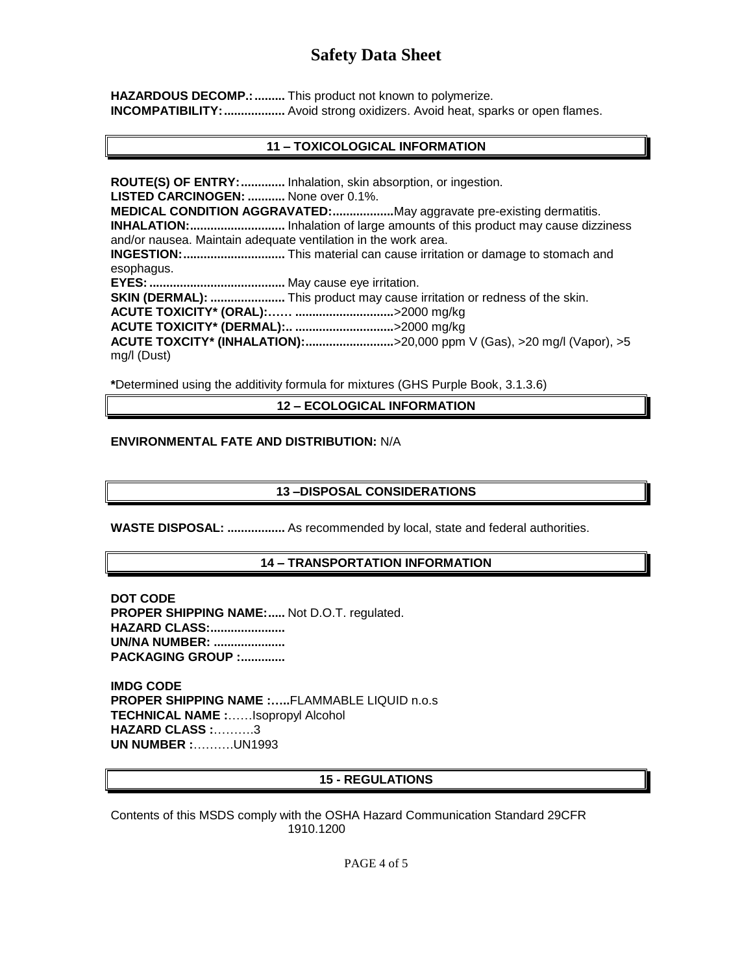HAZARDOUS DECOMP.: .......... This product not known to polymerize. **INCOMPATIBILITY: ..................** Avoid strong oxidizers. Avoid heat, sparks or open flames.

## **11 – TOXICOLOGICAL INFORMATION**

**ROUTE(S) OF ENTRY:.............** Inhalation, skin absorption, or ingestion. **LISTED CARCINOGEN: ...........** None over 0.1%. **MEDICAL CONDITION AGGRAVATED:..................**May aggravate pre-existing dermatitis. **INHALATION:............................** Inhalation of large amounts of this product may cause dizziness and/or nausea. Maintain adequate ventilation in the work area. **INGESTION:..............................** This material can cause irritation or damage to stomach and esophagus. **EYES:........................................** May cause eye irritation. **SKIN (DERMAL): ......................** This product may cause irritation or redness of the skin. **ACUTE TOXICITY\* (ORAL):…… .............................**>2000 mg/kg **ACUTE TOXICITY\* (DERMAL):.. .............................**>2000 mg/kg **ACUTE TOXCITY\* (INHALATION):..........................**>20,000 ppm V (Gas), >20 mg/l (Vapor), >5 mg/l (Dust)

**\***Determined using the additivity formula for mixtures (GHS Purple Book, 3.1.3.6)

**12 – ECOLOGICAL INFORMATION**

#### **ENVIRONMENTAL FATE AND DISTRIBUTION:** N/A

### **13 –DISPOSAL CONSIDERATIONS**

**WASTE DISPOSAL: .................** As recommended by local, state and federal authorities.

#### **14 – TRANSPORTATION INFORMATION**

**DOT CODE PROPER SHIPPING NAME:.....** Not D.O.T. regulated. **HAZARD CLASS:...................... UN/NA NUMBER: ..................... PACKAGING GROUP :.............**

**IMDG CODE PROPER SHIPPING NAME :…..**FLAMMABLE LIQUID n.o.s **TECHNICAL NAME :**……Isopropyl Alcohol **HAZARD CLASS :**……….3 **UN NUMBER :**……….UN1993

# **15 - REGULATIONS**

Contents of this MSDS comply with the OSHA Hazard Communication Standard 29CFR 1910.1200

PAGE 4 of 5